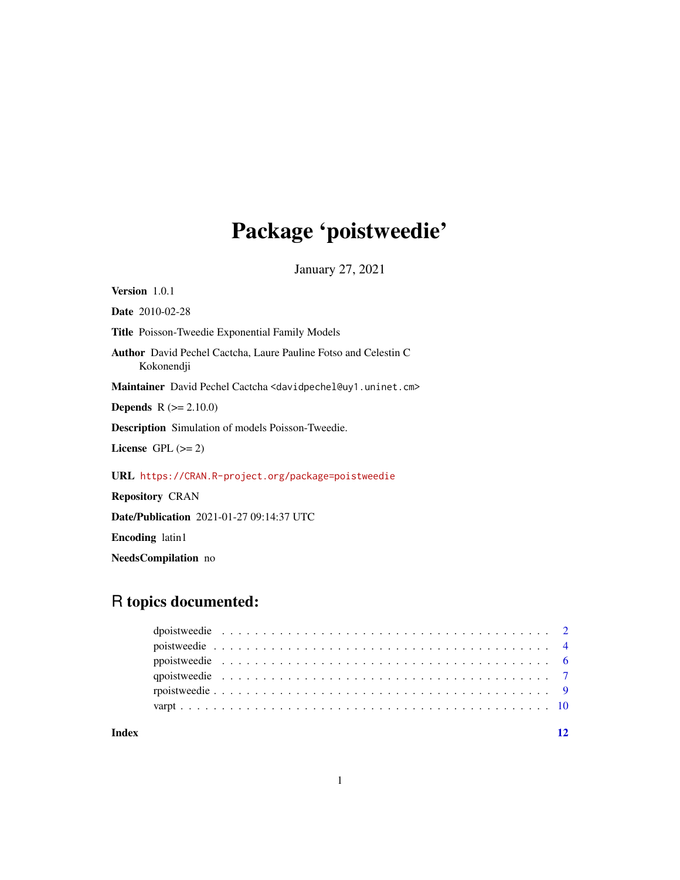## Package 'poistweedie'

January 27, 2021

Version 1.0.1 Date 2010-02-28 Title Poisson-Tweedie Exponential Family Models Author David Pechel Cactcha, Laure Pauline Fotso and Celestin C Kokonendji Maintainer David Pechel Cactcha <davidpechel@uy1.uninet.cm> **Depends** R  $(>= 2.10.0)$ Description Simulation of models Poisson-Tweedie. License GPL  $(>= 2)$ URL <https://CRAN.R-project.org/package=poistweedie> Repository CRAN Date/Publication 2021-01-27 09:14:37 UTC Encoding latin1

## NeedsCompilation no

## R topics documented:

**Index** [12](#page-11-0)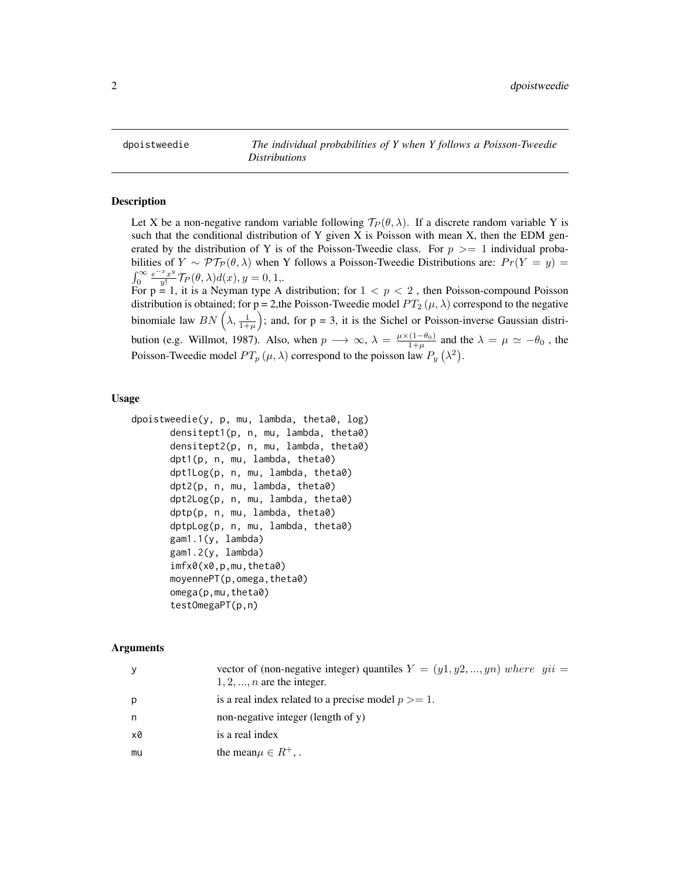<span id="page-1-1"></span><span id="page-1-0"></span>

#### Description

Let X be a non-negative random variable following  $\mathcal{T}_P(\theta,\lambda)$ . If a discrete random variable Y is such that the conditional distribution of Y given X is Poisson with mean X, then the EDM generated by the distribution of Y is of the Poisson-Tweedie class. For  $p \geq 1$  individual probabilities of  $Y \sim \mathcal{PT}_{\mathcal{P}}(\theta, \lambda)$  when Y follows a Poisson-Tweedie Distributions are:  $Pr(Y = y)$  $\int_0^\infty \frac{e^{-x}x^y}{y!}$  $\frac{f(x,y)}{y!}\mathcal{T}_P(\theta,\lambda)d(x), y=0,1,$ For  $p = 1$ , it is a Neyman type A distribution; for  $1 < p < 2$ , then Poisson-compound Poisson distribution is obtained; for p = 2,the Poisson-Tweedie model  $PT_2(\mu, \lambda)$  correspond to the negative binomiale law  $BN\left(\lambda,\frac{1}{1+\mu}\right)$ ; and, for p = 3, it is the Sichel or Poisson-inverse Gaussian distribution (e.g. Willmot, 1987). Also, when  $p \to \infty$ ,  $\lambda = \frac{\mu \times (1-\theta_0)}{1+\mu}$  and the  $\lambda = \mu \simeq -\theta_0$ , the

Poisson-Tweedie model  $PT_p(\mu, \lambda)$  correspond to the poisson law  $P_y(\lambda^2)$ .

#### Usage

```
dpoistweedie(y, p, mu, lambda, theta0, log)
       densitept1(p, n, mu, lambda, theta0)
       densitept2(p, n, mu, lambda, theta0)
       dpt1(p, n, mu, lambda, theta0)
       dpt1Log(p, n, mu, lambda, theta0)
       dpt2(p, n, mu, lambda, theta0)
       dpt2Log(p, n, mu, lambda, theta0)
       dptp(p, n, mu, lambda, theta0)
       dptpLog(p, n, mu, lambda, theta0)
       gam1.1(y, lambda)
       gam1.2(y, lambda)
       imfx0(x0,p,mu,theta0)
       moyennePT(p,omega,theta0)
       omega(p,mu,theta0)
       testOmegaPT(p,n)
```
#### Arguments

| У  | vector of (non-negative integer) quantiles $Y = (y1, y2, , yn)$ where $yii =$<br>$1, 2, \ldots, n$ are the integer. |
|----|---------------------------------------------------------------------------------------------------------------------|
| p  | is a real index related to a precise model $p >= 1$ .                                                               |
| n  | non-negative integer (length of $y$ )                                                                               |
| x0 | is a real index                                                                                                     |
| mu | the mean $\mu \in R^+$ ,.                                                                                           |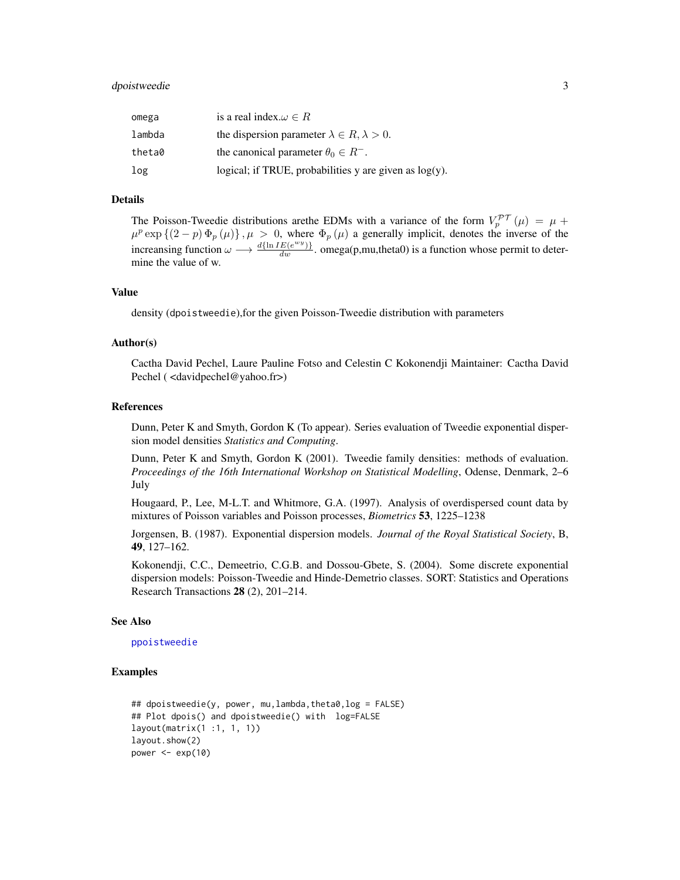## <span id="page-2-0"></span>dpoistweedie 3

| omega  | is a real index. $\omega \in R$                           |
|--------|-----------------------------------------------------------|
| lambda | the dispersion parameter $\lambda \in R, \lambda > 0$ .   |
| theta0 | the canonical parameter $\theta_0 \in R^-$ .              |
| log    | logical; if TRUE, probabilities y are given as $log(y)$ . |

#### Details

The Poisson-Tweedie distributions are the EDMs with a variance of the form  $V_p^{pT}(\mu) = \mu +$  $\mu^p \exp \{(2-p) \Phi_p(\mu) \}, \mu > 0$ , where  $\Phi_p(\mu)$  a generally implicit, denotes the inverse of the increansing function  $\omega \longrightarrow \frac{d\{\ln IE(e^{wy})\}}{dw}$ . omega(p,mu,theta0) is a function whose permit to determine the value of w.

## Value

density (dpoistweedie),for the given Poisson-Tweedie distribution with parameters

#### Author(s)

Cactha David Pechel, Laure Pauline Fotso and Celestin C Kokonendji Maintainer: Cactha David Pechel ( <davidpechel@yahoo.fr>)

#### References

Dunn, Peter K and Smyth, Gordon K (To appear). Series evaluation of Tweedie exponential dispersion model densities *Statistics and Computing*.

Dunn, Peter K and Smyth, Gordon K (2001). Tweedie family densities: methods of evaluation. *Proceedings of the 16th International Workshop on Statistical Modelling*, Odense, Denmark, 2–6 July

Hougaard, P., Lee, M-L.T. and Whitmore, G.A. (1997). Analysis of overdispersed count data by mixtures of Poisson variables and Poisson processes, *Biometrics* 53, 1225–1238

Jorgensen, B. (1987). Exponential dispersion models. *Journal of the Royal Statistical Society*, B, 49, 127–162.

Kokonendji, C.C., Demeetrio, C.G.B. and Dossou-Gbete, S. (2004). Some discrete exponential dispersion models: Poisson-Tweedie and Hinde-Demetrio classes. SORT: Statistics and Operations Research Transactions 28 (2), 201–214.

#### See Also

#### [ppoistweedie](#page-5-1)

```
## dpoistweedie(y, power, mu,lambda,theta0,log = FALSE)
## Plot dpois() and dpoistweedie() with log=FALSE
layout(matrix(1 :1, 1, 1))
layout.show(2)
power \leq -\exp(10)
```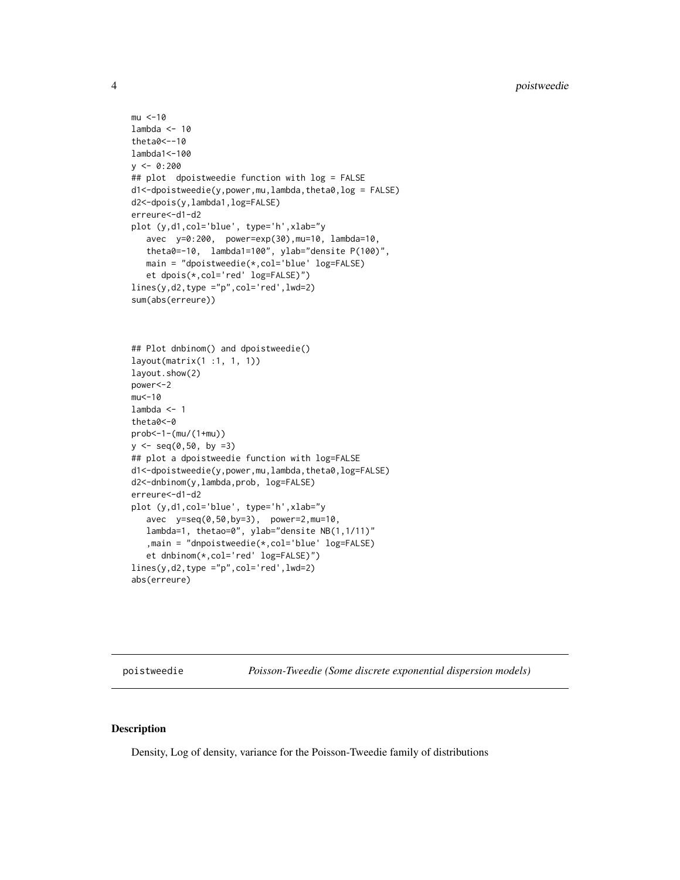```
mu < -10lambda < -10theta0<--10
lambda1<-100
y \le -0.200## plot dpoistweedie function with log = FALSE
d1<-dpoistweedie(y,power,mu,lambda,theta0,log = FALSE)
d2<-dpois(y,lambda1,log=FALSE)
erreure<-d1-d2
plot (y,d1,col='blue', type='h',xlab="y
   avec y=0:200, power=exp(30),mu=10, lambda=10,
   theta0=-10, lambda1=100", ylab="densite P(100)",
   main = "dpoistweedie(*,col='blue' log=FALSE)
   et dpois(*,col='red' log=FALSE)")
lines(y,d2,type ="p",col='red',lwd=2)
sum(abs(erreure))
## Plot dnbinom() and dpoistweedie()
layout(matrix(1 :1, 1, 1))
layout.show(2)
power<-2
mu<-10
lambda <- 1
theta0<-0
prob<-1-(mu/(1+mu))
y \le - seq(0,50, by =3)
## plot a dpoistweedie function with log=FALSE
d1<-dpoistweedie(y,power,mu,lambda,theta0,log=FALSE)
d2<-dnbinom(y,lambda,prob, log=FALSE)
erreure<-d1-d2
plot (y,d1,col='blue', type='h',xlab="y
   avec y=seq(0,50,by=3), power=2,mu=10,
   lambda=1, thetao=0", ylab="densite NB(1,1/11)"
   ,main = "dnpoistweedie(*,col='blue' log=FALSE)
   et dnbinom(*,col='red' log=FALSE)")
lines(y,d2,type ="p",col='red',lwd=2)
abs(erreure)
```
<span id="page-3-1"></span>poistweedie *Poisson-Tweedie (Some discrete exponential dispersion models)*

#### Description

Density, Log of density, variance for the Poisson-Tweedie family of distributions

<span id="page-3-0"></span>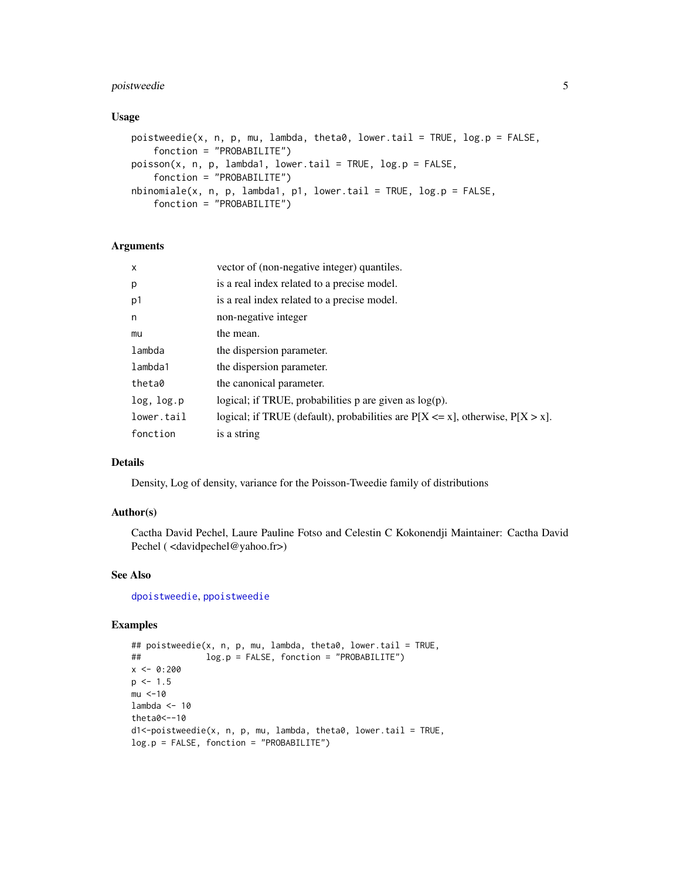## <span id="page-4-0"></span>poistweedie 5

#### Usage

```
poistweedie(x, n, p, mu, lambda, theta0, lower.tail = TRUE, log.p = FALSE,
    fonction = "PROBABILITE")
poisson(x, n, p, lambda1, lower.tail = TRUE, log.p = FALSE,
    fonction = "PROBABILITE")
nbinomiale(x, n, p, lambda1, p1, lower.\n  tail = TRUE, log.p = FALSE,fonction = "PROBABILITE")
```
### Arguments

| X          | vector of (non-negative integer) quantiles.                                          |
|------------|--------------------------------------------------------------------------------------|
| p          | is a real index related to a precise model.                                          |
| p1         | is a real index related to a precise model.                                          |
| n          | non-negative integer                                                                 |
| mu         | the mean.                                                                            |
| lambda     | the dispersion parameter.                                                            |
| lambda1    | the dispersion parameter.                                                            |
| theta0     | the canonical parameter.                                                             |
| log, log.p | logical; if TRUE, probabilities $p$ are given as $log(p)$ .                          |
| lower.tail | logical; if TRUE (default), probabilities are $P[X \le x]$ , otherwise, $P[X > x]$ . |
| fonction   | is a string                                                                          |
|            |                                                                                      |

## Details

Density, Log of density, variance for the Poisson-Tweedie family of distributions

## Author(s)

Cactha David Pechel, Laure Pauline Fotso and Celestin C Kokonendji Maintainer: Cactha David Pechel ( <davidpechel@yahoo.fr>)

## See Also

[dpoistweedie](#page-1-1), [ppoistweedie](#page-5-1)

```
## poistweedie(x, n, p, mu, lambda, theta0, lower.tail = TRUE,
## log.p = FALSE, fonction = "PROBABILITE")
x \le -0.200p \le -1.5mu < -10lambda <- 10
theta0<--10
d1<-poistweedie(x, n, p, mu, lambda, theta0, lower.tail = TRUE,
log.p = FALSE, fonction = "PROBABILITE")
```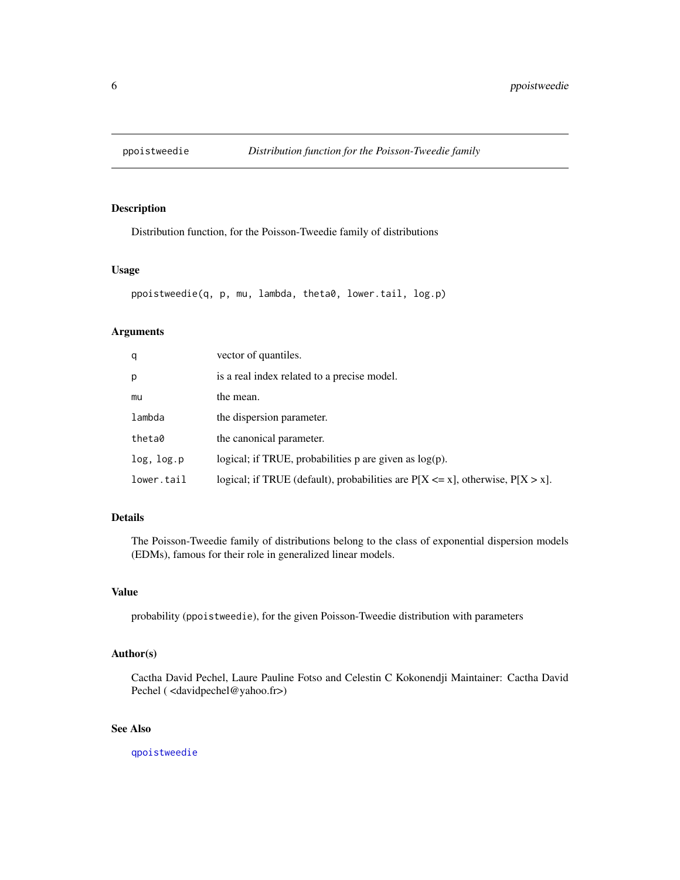<span id="page-5-1"></span><span id="page-5-0"></span>

## Description

Distribution function, for the Poisson-Tweedie family of distributions

## Usage

```
ppoistweedie(q, p, mu, lambda, theta0, lower.tail, log.p)
```
## Arguments

| q          | vector of quantiles.                                                                 |
|------------|--------------------------------------------------------------------------------------|
| p          | is a real index related to a precise model.                                          |
| mu         | the mean.                                                                            |
| lambda     | the dispersion parameter.                                                            |
| theta0     | the canonical parameter.                                                             |
| log, log.p | logical; if TRUE, probabilities $p$ are given as $log(p)$ .                          |
| lower.tail | logical; if TRUE (default), probabilities are $P[X \le x]$ , otherwise, $P[X > x]$ . |

## Details

The Poisson-Tweedie family of distributions belong to the class of exponential dispersion models (EDMs), famous for their role in generalized linear models.

### Value

probability (ppoistweedie), for the given Poisson-Tweedie distribution with parameters

## Author(s)

Cactha David Pechel, Laure Pauline Fotso and Celestin C Kokonendji Maintainer: Cactha David Pechel ( <davidpechel@yahoo.fr>)

## See Also

[qpoistweedie](#page-6-1)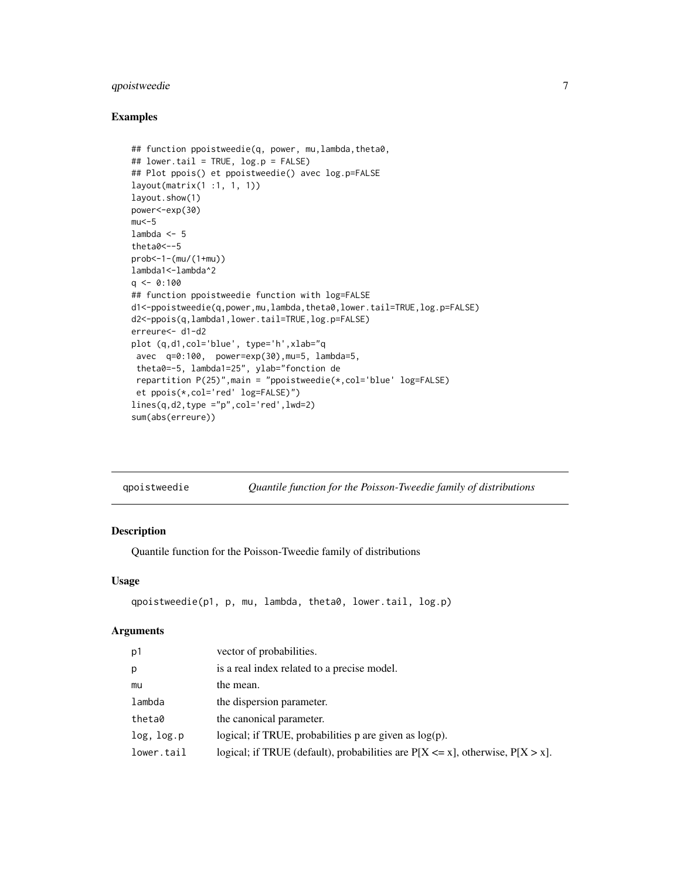## <span id="page-6-0"></span>qpoistweedie 7

### Examples

```
## function ppoistweedie(q, power, mu,lambda,theta0,
## lower.tail = TRUE, log.p = FALSE)
## Plot ppois() et ppoistweedie() avec log.p=FALSE
layout(matrix(1 :1, 1, 1))
layout.show(1)
power<-exp(30)
mu < -5lambda <-5theta0<--5
prob<-1-(mu/(1+mu))
lambda1<-lambda^2
q \leq 0:100## function ppoistweedie function with log=FALSE
d1<-ppoistweedie(q,power,mu,lambda,theta0,lower.tail=TRUE,log.p=FALSE)
d2<-ppois(q,lambda1,lower.tail=TRUE,log.p=FALSE)
erreure<- d1-d2
plot (q,d1,col='blue', type='h',xlab="q
avec q=0:100, power=exp(30),mu=5, lambda=5,
 theta0=-5, lambda1=25", ylab="fonction de
 repartition P(25)",main = "ppoistweedie(*,col='blue' log=FALSE)
 et ppois(*,col='red' log=FALSE)")
lines(q, d2, type = "p", col='red', lwd=2)sum(abs(erreure))
```
<span id="page-6-1"></span>

## Description

Quantile function for the Poisson-Tweedie family of distributions

#### Usage

```
qpoistweedie(p1, p, mu, lambda, theta0, lower.tail, log.p)
```
#### Arguments

| p1         | vector of probabilities.                                                             |
|------------|--------------------------------------------------------------------------------------|
| p          | is a real index related to a precise model.                                          |
| mu         | the mean.                                                                            |
| lambda     | the dispersion parameter.                                                            |
| theta0     | the canonical parameter.                                                             |
| log, log.p | logical; if TRUE, probabilities $p$ are given as $log(p)$ .                          |
| lower.tail | logical; if TRUE (default), probabilities are $P[X \le x]$ , otherwise, $P[X > x]$ . |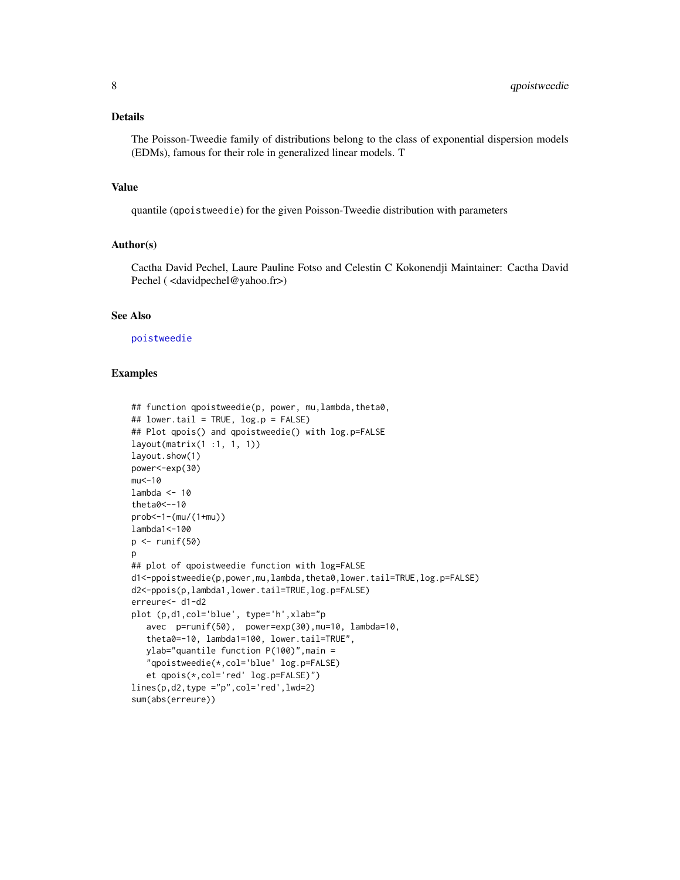#### <span id="page-7-0"></span>Details

The Poisson-Tweedie family of distributions belong to the class of exponential dispersion models (EDMs), famous for their role in generalized linear models. T

#### Value

quantile (qpoistweedie) for the given Poisson-Tweedie distribution with parameters

## Author(s)

Cactha David Pechel, Laure Pauline Fotso and Celestin C Kokonendji Maintainer: Cactha David Pechel ( <davidpechel@yahoo.fr>)

## See Also

[poistweedie](#page-3-1)

```
## function qpoistweedie(p, power, mu,lambda,theta0,
## lower.tail = TRUE, log.p = FALSE)
## Plot qpois() and qpoistweedie() with log.p=FALSE
layout(matrix(1 :1, 1, 1))
layout.show(1)
power<-exp(30)
mu < -10lambda < -10theta0<--10
prob<-1-(mu/(1+mu))
lambda1<-100
p \leftarrow runif(50)p
## plot of qpoistweedie function with log=FALSE
d1<-ppoistweedie(p,power,mu,lambda,theta0,lower.tail=TRUE,log.p=FALSE)
d2<-ppois(p,lambda1,lower.tail=TRUE,log.p=FALSE)
erreure<- d1-d2
plot (p,d1,col='blue', type='h',xlab="p
   avec p=runif(50), power=exp(30),mu=10, lambda=10,
   theta0=-10, lambda1=100, lower.tail=TRUE",
   ylab="quantile function P(100)",main =
   "qpoistweedie(*,col='blue' log.p=FALSE)
   et qpois(*,col='red' log.p=FALSE)")
lines(p,d2,type ="p",col='red',lwd=2)
sum(abs(erreure))
```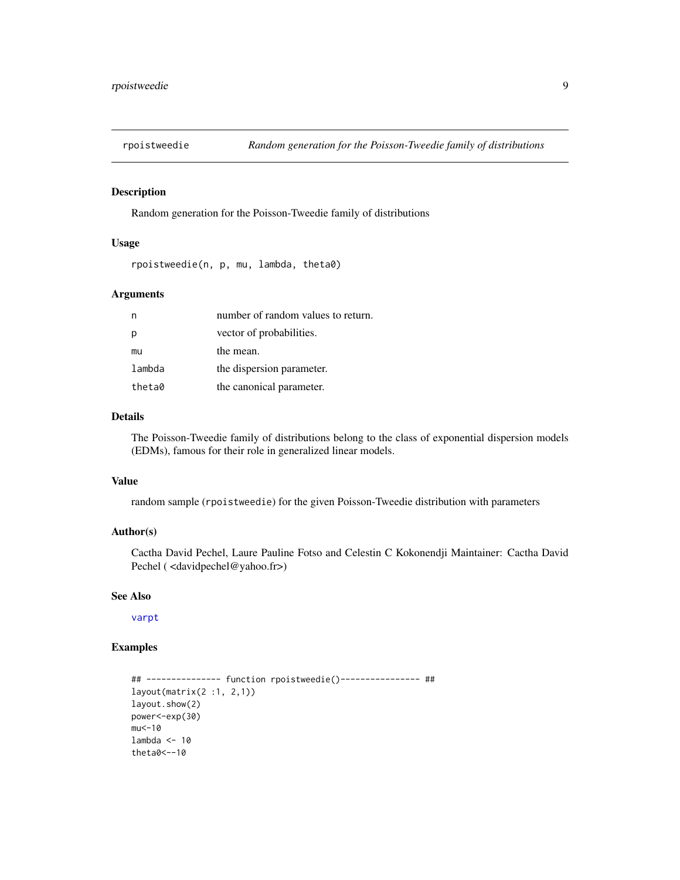<span id="page-8-0"></span>

#### Description

Random generation for the Poisson-Tweedie family of distributions

#### Usage

rpoistweedie(n, p, mu, lambda, theta0)

## Arguments

|        | number of random values to return. |
|--------|------------------------------------|
|        | vector of probabilities.           |
| mu     | the mean.                          |
| lambda | the dispersion parameter.          |
| theta0 | the canonical parameter.           |

## Details

The Poisson-Tweedie family of distributions belong to the class of exponential dispersion models (EDMs), famous for their role in generalized linear models.

#### Value

random sample (rpoistweedie) for the given Poisson-Tweedie distribution with parameters

## Author(s)

Cactha David Pechel, Laure Pauline Fotso and Celestin C Kokonendji Maintainer: Cactha David Pechel ( <davidpechel@yahoo.fr>)

## See Also

#### [varpt](#page-9-1)

```
## --------------- function rpoistweedie()---------------- ##
layout(matrix(2 :1, 2,1))
layout.show(2)
power<-exp(30)
mu < -10lambda <-10theta0<--10
```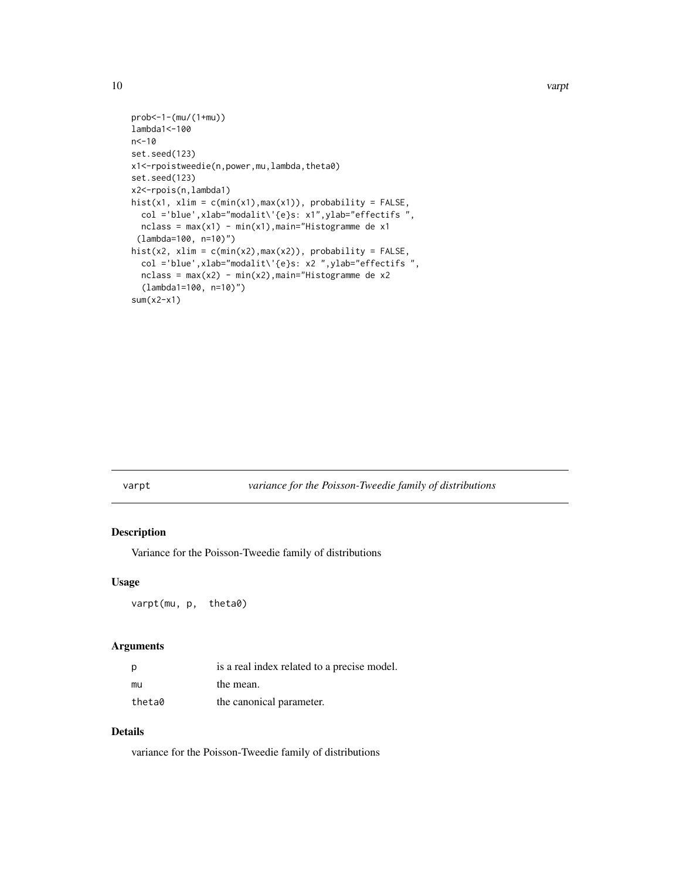```
prob<-1-(mu/(1+mu))
lambda1<-100
n<-10
set.seed(123)
x1<-rpoistweedie(n,power,mu,lambda,theta0)
set.seed(123)
x2<-rpois(n,lambda1)
hist(x1, xlim = c(min(x1),max(x1)), probability = FALSE,
  col ='blue',xlab="modalit\'{e}s: x1",ylab="effectifs ",
 nclass = max(x1) - min(x1), main="Histogramme de x1
 (lambda=100, n=10)")
hist(x2, xlim = c(min(x2),max(x2)), probability = FALSE,
  col ='blue',xlab="modalit\'{e}s: x2 ",ylab="effectifs ",
  nclass = max(x2) - min(x2), main="History(lambda1=100, n=10)")
sum(x2-x1)
```
#### <span id="page-9-1"></span>varpt *variance for the Poisson-Tweedie family of distributions*

## Description

Variance for the Poisson-Tweedie family of distributions

#### Usage

varpt(mu, p, theta0)

#### Arguments

| - p    | is a real index related to a precise model. |
|--------|---------------------------------------------|
| mu     | the mean.                                   |
| theta0 | the canonical parameter.                    |

## Details

variance for the Poisson-Tweedie family of distributions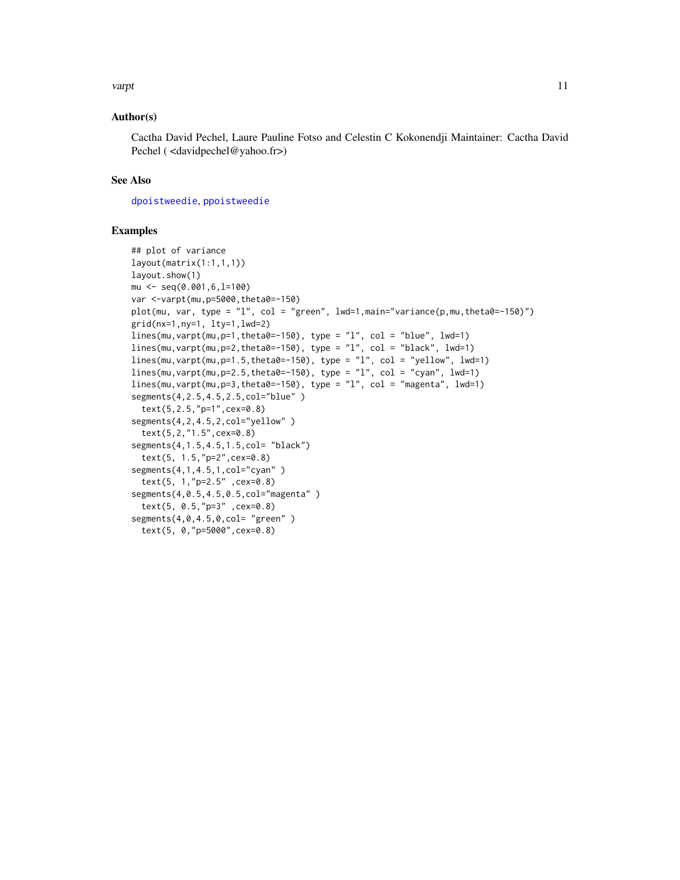#### <span id="page-10-0"></span>varpt to the contract of the contract of the contract of the contract of the contract of the contract of the contract of the contract of the contract of the contract of the contract of the contract of the contract of the c

## Author(s)

Cactha David Pechel, Laure Pauline Fotso and Celestin C Kokonendji Maintainer: Cactha David Pechel ( <davidpechel@yahoo.fr>)

## See Also

[dpoistweedie](#page-1-1), [ppoistweedie](#page-5-1)

```
## plot of variance
layout(matrix(1:1,1,1))
layout.show(1)
mu <- seq(0.001,6,l=100)
var <-varpt(mu,p=5000,theta0=-150)
plot(mu, var, type = "l", col = "green", lwd=1, main="variance(p, mu, theta0=-150)")
grid(nx=1,ny=1, lty=1,lwd=2)
lines(mu, varpt(mu, p=1, theta0=-150), type = "l", col = "blue", lwd=1)lines(mu,varpt(mu,p=2,theta0=-150), type = "l", col = "black", lwd=1)
lines(mu, varpt(mu, p=1.5, theta0=-150), type = "1", col = "yellow", lwd=1)lines(mu, varpt(mu, p=2.5, theta0=-150), type = "l", col = "cyan", lwd=1)lines(mu, varpt(mu, p=3, theta0=-150), type = "1", col = "magenta", lwd=1)segments(4,2.5,4.5,2.5,col="blue" )
 text(5,2.5,"p=1",cex=0.8)
segments(4,2,4.5,2,col="yellow" )
 text(5,2,"1.5",cex=0.8)
segments(4,1.5,4.5,1.5,col= "black")
 text(5, 1.5,"p=2",cex=0.8)
segments(4,1,4.5,1,col="cyan" )
 text(5, 1,"p=2.5" ,cex=0.8)
segments(4,0.5,4.5,0.5,col="magenta" )
 text(5, 0.5,"p=3" ,cex=0.8)
segments(4,0,4.5,0,col= "green")
 text(5, 0,"p=5000",cex=0.8)
```